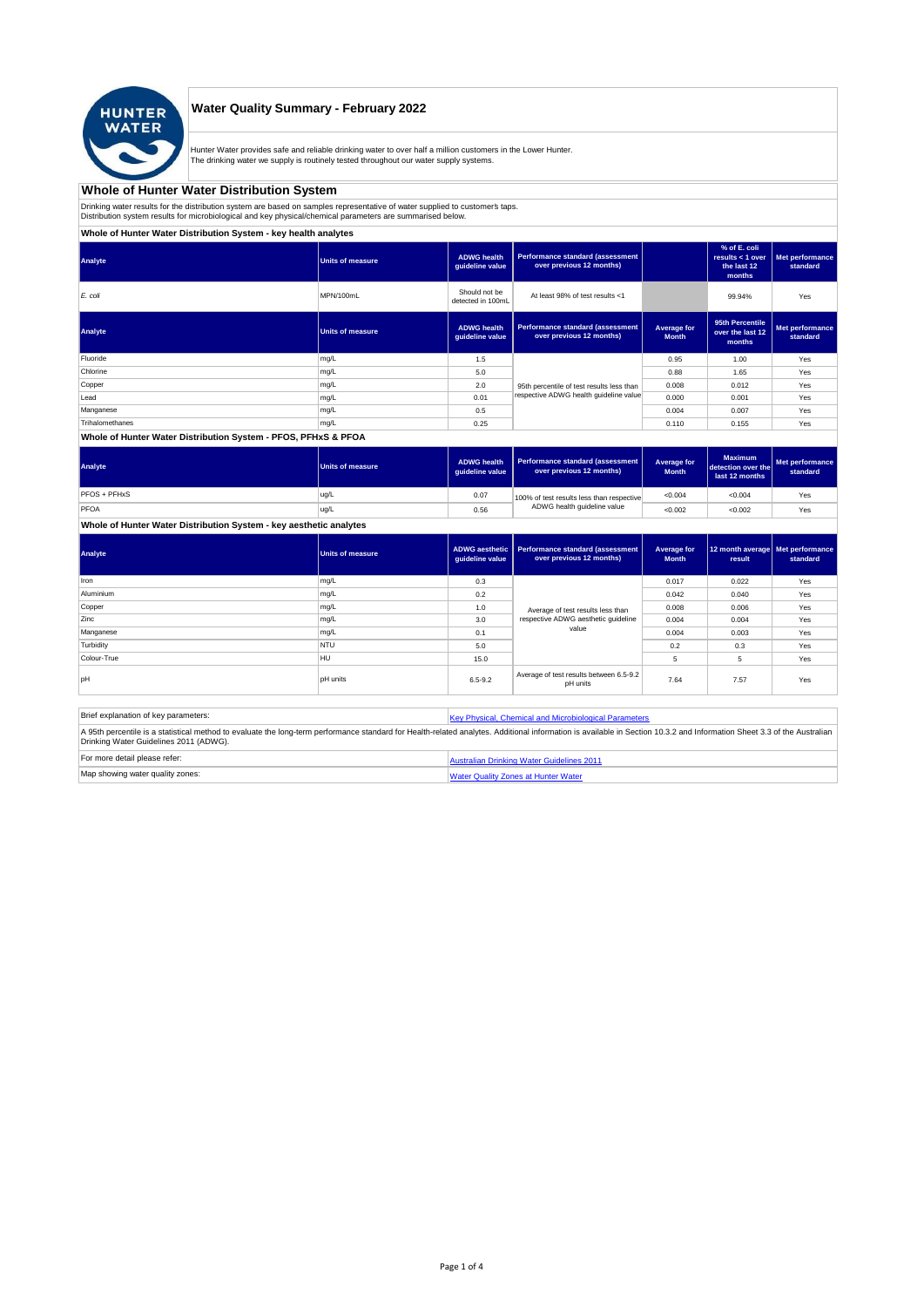

## **Water Quality Summary - February 2022**

Hunter Water provides safe and reliable drinking water to over half a million customers in the Lower Hunter. The drinking water we supply is routinely tested throughout our water supply systems.

## **Whole of Hunter Water Distribution System**

Drinking water results for the distribution system are based on samples representative of water supplied to customer' taps.<br>Distribution system results for microbiological and key physical/chemical parameters are summarise

## **Whole of Hunter Water Distribution System - key health analytes**

| Analyte         | <b>Units of measure</b> | <b>ADWG</b> health<br>guideline value | <b>Performance standard (assessment</b><br>over previous 12 months) |                             | % of E. coli<br>results $<$ 1 over<br>the last 12<br>months | Met performance<br>standard |
|-----------------|-------------------------|---------------------------------------|---------------------------------------------------------------------|-----------------------------|-------------------------------------------------------------|-----------------------------|
| E. coli         | MPN/100mL               | Should not be<br>detected in 100mL    | At least 98% of test results <1                                     |                             | 99.94%                                                      | Yes                         |
| Analyte         | <b>Units of measure</b> | <b>ADWG</b> health<br>guideline value | <b>Performance standard (assessment</b><br>over previous 12 months) | Average for<br><b>Month</b> | 95th Percentile<br>over the last 12<br>months               | Met performance<br>standard |
| Fluoride        | mg/L                    | 1.5                                   |                                                                     | 0.95                        | 1.00                                                        | Yes                         |
| Chlorine        | mg/L                    | 5.0                                   |                                                                     | 0.88                        | 1.65                                                        | Yes                         |
| Copper          | mg/L                    | 2.0                                   | 95th percentile of test results less than                           | 0.008                       | 0.012                                                       | Yes                         |
| Lead            | mg/L                    | 0.01                                  | respective ADWG health quideline value                              | 0.000                       | 0.001                                                       | Yes                         |
| Manganese       | mg/L                    | 0.5                                   |                                                                     | 0.004                       | 0.007                                                       | Yes                         |
| Trihalomethanes | mg/L                    | 0.25                                  |                                                                     | 0.110                       | 0.155                                                       | Yes                         |
|                 |                         |                                       |                                                                     |                             |                                                             |                             |

#### **Whole of Hunter Water Distribution System - PFOS, PFHxS & PFOA**

| Analyte      | <b>Units of measure</b> | <b>ADWG health</b><br>quideline value | Performance standard (assessment<br>over previous 12 months) | Average for<br><b>Month</b> | <b>Maximum</b><br>detection over the<br>last 12 months | Met performance<br>standard |
|--------------|-------------------------|---------------------------------------|--------------------------------------------------------------|-----------------------------|--------------------------------------------------------|-----------------------------|
| PFOS + PFHxS | ug/L                    | 0.07                                  | 100% of test results less than respective                    | <0.004                      | < 0.004                                                | Yes                         |
| PFOA         | ug/L                    | 0.56                                  | ADWG health quideline value                                  | < 0.002                     | < 0.002                                                | Yes                         |

## **Whole of Hunter Water Distribution System - key aesthetic analytes**

| Analyte     | <b>Units of measure</b> | guideline value | ADWG aesthetic   Performance standard (assessment<br>over previous 12 months) | Average for<br><b>Month</b> | 12 month average   Met performance<br>result | standard |
|-------------|-------------------------|-----------------|-------------------------------------------------------------------------------|-----------------------------|----------------------------------------------|----------|
| Iron        | mg/L                    | 0.3             |                                                                               | 0.017                       | 0.022                                        | Yes      |
| Aluminium   | mg/L                    | 0.2             |                                                                               | 0.042                       | 0.040                                        | Yes      |
| Copper      | mg/L                    | 1.0             | Average of test results less than                                             | 0.008                       | 0.006                                        | Yes      |
| Zinc        | mg/L                    | 3.0             | respective ADWG aesthetic quideline                                           | 0.004                       | 0.004                                        | Yes      |
| Manganese   | mg/L                    | 0.1             | value                                                                         | 0.004                       | 0.003                                        | Yes      |
| Turbidity   | <b>NTU</b>              | 5.0             |                                                                               | 0.2                         | 0.3                                          | Yes      |
| Colour-True | <b>HU</b>               | 15.0            |                                                                               | 5                           | 5                                            | Yes      |
| pH          | <b>pH</b> units         | $6.5 - 9.2$     | Average of test results between 6.5-9.2<br>pH units                           | 7.64                        | 7.57                                         | Yes      |

| Brief explanation of key parameters:   | Key Physical, Chemical and Microbiological Parameters                                                                                                                                                                   |
|----------------------------------------|-------------------------------------------------------------------------------------------------------------------------------------------------------------------------------------------------------------------------|
| Drinking Water Guidelines 2011 (ADWG). | A 95th percentile is a statistical method to evaluate the long-term performance standard for Health-related analytes. Additional information is available in Section 10.3.2 and Information Sheet 3.3 of the Australian |
| For more detail please refer:          | Australian Drinking Water Guidelines 2011                                                                                                                                                                               |
| Map showing water quality zones:       | <b>Water Quality Zones at Hunter Water</b>                                                                                                                                                                              |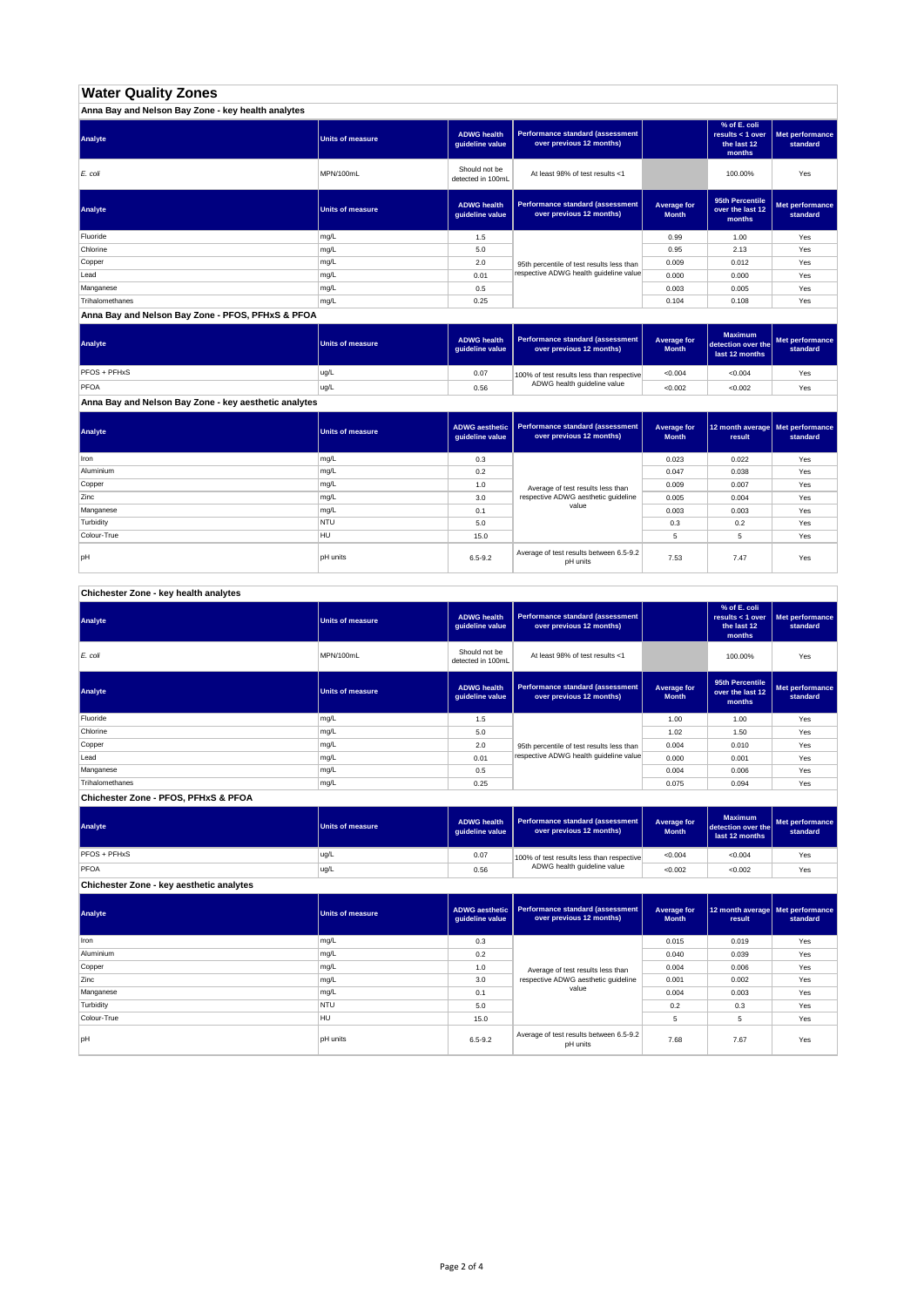# **Water Quality Zones**

| Anna Bay and Nelson Bay Zone - key health analytes |                  |                                       |                                                                     |                             |                                                           |                             |
|----------------------------------------------------|------------------|---------------------------------------|---------------------------------------------------------------------|-----------------------------|-----------------------------------------------------------|-----------------------------|
| Analyte                                            | Units of measure | <b>ADWG health</b><br>guideline value | <b>Performance standard (assessment</b><br>over previous 12 months) |                             | % of E. coli<br>results < 1 over<br>the last 12<br>months | Met performance<br>standard |
| E. coli                                            | MPN/100mL        | Should not be<br>detected in 100mL    | At least 98% of test results <1                                     |                             | 100.00%                                                   | Yes                         |
| Analyte                                            | Units of measure | <b>ADWG health</b><br>guideline value | Performance standard (assessment<br>over previous 12 months)        | Average for<br><b>Month</b> | 95th Percentile<br>over the last 12<br>months             | Met performance<br>standard |
| Fluoride                                           | mg/L             | 1.5                                   |                                                                     | 0.99                        | 1.00                                                      | Yes                         |
| Chlorine                                           | mg/L             | 5.0                                   |                                                                     | 0.95                        | 2.13                                                      | Yes                         |
| Copper                                             | mg/L             | 2.0                                   | 95th percentile of test results less than                           | 0.009                       | 0.012                                                     | Yes                         |
| Lead                                               | mg/L             | 0.01                                  | respective ADWG health quideline value                              | 0.000                       | 0.000                                                     | Yes                         |
| Manganese                                          | mg/L             | 0.5                                   |                                                                     | 0.003                       | 0.005                                                     | Yes                         |
| Trihalomethanes                                    | mg/L             | 0.25                                  |                                                                     | 0.104                       | 0.108                                                     | Yes                         |

**Anna Bay and Nelson Bay Zone - PFOS, PFHxS & PFOA**

| Analyte      | <b>Units of measure</b> | <b>ADWG health</b><br>quideline value | Performance standard (assessment<br>over previous 12 months) | Average for<br><b>Month</b> | <b>Maximum</b><br>detection over the<br>last 12 months | Met performance<br>standard |
|--------------|-------------------------|---------------------------------------|--------------------------------------------------------------|-----------------------------|--------------------------------------------------------|-----------------------------|
| PFOS + PFHxS | ug/L                    | 0.07                                  | 100% of test results less than respective                    | < 0.004                     | < 0.004                                                | Yes                         |
| PFOA         | ug/L                    | 0.56                                  | ADWG health guideline value                                  | < 0.002                     | < 0.002                                                | Yes                         |

**Anna Bay and Nelson Bay Zone - key aesthetic analytes**

| Analyte     | Units of measure | ADWG aesthetic  <br>guideline value | Performance standard (assessment<br>over previous 12 months) | Average for<br><b>Month</b> | 12 month average   Met performance<br>result | standard |
|-------------|------------------|-------------------------------------|--------------------------------------------------------------|-----------------------------|----------------------------------------------|----------|
| Iron        | mg/L             | 0.3                                 |                                                              | 0.023                       | 0.022                                        | Yes      |
| Aluminium   | mg/L             | 0.2                                 |                                                              | 0.047                       | 0.038                                        | Yes      |
| Copper      | mg/L             | 1.0                                 | Average of test results less than                            | 0.009                       | 0.007                                        | Yes      |
| Zinc        | mg/L             | 3.0                                 | respective ADWG aesthetic quideline                          | 0.005                       | 0.004                                        | Yes      |
| Manganese   | mg/L             | 0.1                                 | value                                                        | 0.003                       | 0.003                                        | Yes      |
| Turbidity   | <b>NTU</b>       | 5.0                                 |                                                              | 0.3                         | 0.2                                          | Yes      |
| Colour-True | HU               | 15.0                                |                                                              |                             | 5                                            | Yes      |
| pH          | <b>pH</b> units  | $6.5 - 9.2$                         | Average of test results between 6.5-9.2<br>pH units          | 7.53                        | 7.47                                         | Yes      |

**Chichester Zone - key health analytes**

| Analyte         | <b>Units of measure</b> | <b>ADWG health</b><br>guideline value | Performance standard (assessment<br>over previous 12 months) |                             | % of E. coli<br>results $<$ 1 over<br>the last 12<br>months | Met performance<br>standard |
|-----------------|-------------------------|---------------------------------------|--------------------------------------------------------------|-----------------------------|-------------------------------------------------------------|-----------------------------|
| E. coli         | MPN/100mL               | Should not be<br>detected in 100mL    | At least 98% of test results <1                              |                             | 100.00%                                                     | Yes                         |
| Analyte         | <b>Units of measure</b> | <b>ADWG health</b><br>guideline value | Performance standard (assessment<br>over previous 12 months) | Average for<br><b>Month</b> | 95th Percentile<br>over the last 12<br>months               | Met performance<br>standard |
| Fluoride        | mg/L                    | 1.5                                   |                                                              | 1.00                        | 1.00                                                        | Yes                         |
| Chlorine        | mg/L                    | 5.0                                   |                                                              | 1.02                        | 1.50                                                        | Yes                         |
| Copper          | mg/L                    | 2.0                                   | 95th percentile of test results less than                    | 0.004                       | 0.010                                                       | Yes                         |
| Lead            | mg/L                    | 0.01                                  | respective ADWG health quideline value                       | 0.000                       | 0.001                                                       | Yes                         |
| Manganese       | mg/L                    | 0.5                                   |                                                              | 0.004                       | 0.006                                                       | Yes                         |
| Trihalomethanes | mg/L                    | 0.25                                  |                                                              | 0.075                       | 0.094                                                       | Yes                         |

**Chichester Zone - PFOS, PFHxS & PFOA**

| Analyte                                  | Units of measure | <b>ADWG health</b><br>auideline value | Performance standard (assessment<br>over previous 12 months) | Average for<br><b>Month</b> | <b>Maximum</b><br>detection over the<br>last 12 months | Met performance<br>standard |
|------------------------------------------|------------------|---------------------------------------|--------------------------------------------------------------|-----------------------------|--------------------------------------------------------|-----------------------------|
| <b>PFOS + PFHxS</b>                      | ug/L             | 0.07                                  | 100% of test results less than respective                    | < 0.004                     | < 0.004                                                | Yes                         |
| PFOA                                     | ug/L             | 0.56                                  | ADWG health guideline value                                  | < 0.002                     | < 0.002                                                | Yes                         |
| Chichester Zone - key aesthetic analytes |                  |                                       |                                                              |                             |                                                        |                             |

| Analyte     | <b>Units of measure</b> | ADWG aesthetic<br>guideline value | Performance standard (assessment<br>over previous 12 months) | Average for<br><b>Month</b> | 12 month average Met performance<br>result | standard |
|-------------|-------------------------|-----------------------------------|--------------------------------------------------------------|-----------------------------|--------------------------------------------|----------|
| Iron        | mg/L                    | 0.3                               |                                                              | 0.015                       | 0.019                                      | Yes      |
| Aluminium   | mg/L                    | 0.2                               |                                                              | 0.040                       | 0.039                                      | Yes      |
| Copper      | mg/L                    | 1.0                               | Average of test results less than                            | 0.004                       | 0.006                                      | Yes      |
| Zinc        | mg/L                    | 3.0                               | respective ADWG aesthetic quideline                          | 0.001                       | 0.002                                      | Yes      |
| Manganese   | mg/L                    | 0.1                               | value                                                        | 0.004                       | 0.003                                      | Yes      |
| Turbidity   | <b>NTU</b>              | 5.0                               |                                                              | 0.2                         | 0.3                                        | Yes      |
| Colour-True | <b>HU</b>               | 15.0                              |                                                              | 5                           | 5                                          | Yes      |
| pH          | <b>pH</b> units         | $6.5 - 9.2$                       | Average of test results between 6.5-9.2<br>pH units          | 7.68                        | 7.67                                       | Yes      |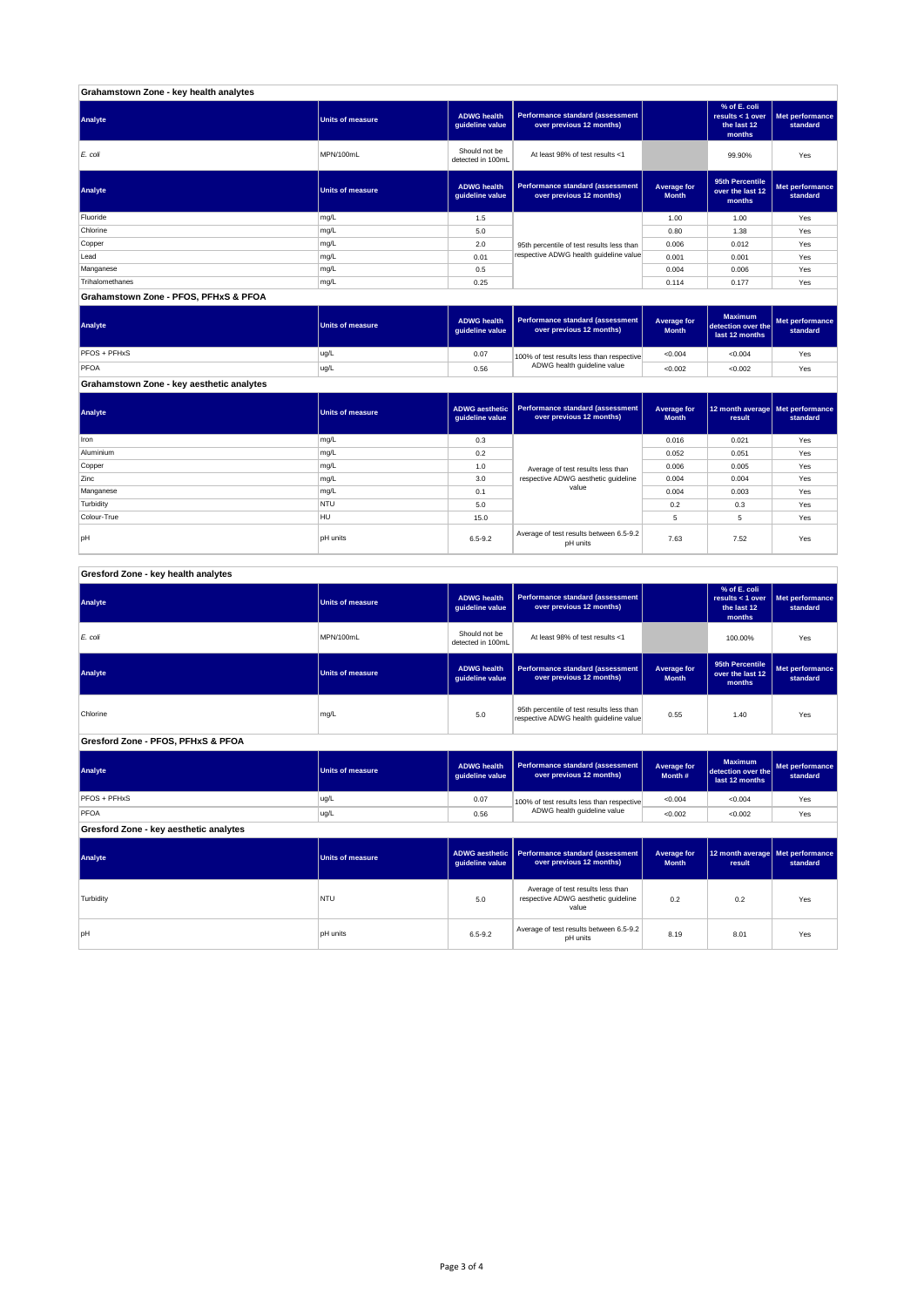| Grahamstown Zone - key health analytes |                         |                                       |                                                              |                             |                                                             |                             |
|----------------------------------------|-------------------------|---------------------------------------|--------------------------------------------------------------|-----------------------------|-------------------------------------------------------------|-----------------------------|
| Analyte                                | <b>Units of measure</b> | <b>ADWG health</b><br>guideline value | Performance standard (assessment<br>over previous 12 months) |                             | % of E. coli<br>results $<$ 1 over<br>the last 12<br>months | Met performance<br>standard |
| E. coli                                | MPN/100mL               | Should not be<br>detected in 100mL    | At least 98% of test results <1                              |                             | 99.90%                                                      | Yes                         |
| Analyte                                | <b>Units of measure</b> | <b>ADWG health</b><br>quideline value | Performance standard (assessment<br>over previous 12 months) | Average for<br><b>Month</b> | 95th Percentile<br>over the last 12<br>months               | Met performance<br>standard |
| Fluoride                               | mg/L                    | 1.5                                   |                                                              | 1.00                        | 1.00                                                        | Yes                         |
| Chlorine                               | mg/L                    | 5.0                                   |                                                              | 0.80                        | 1.38                                                        | Yes                         |
| Copper                                 | mg/L                    | 2.0                                   | 95th percentile of test results less than                    | 0.006                       | 0.012                                                       | Yes                         |
| Lead                                   | mg/L                    | 0.01                                  | respective ADWG health guideline value                       | 0.001                       | 0.001                                                       | Yes                         |
| Manganese                              | mg/L                    | 0.5                                   |                                                              | 0.004                       | 0.006                                                       | Yes                         |
| Trihalomethanes                        | mg/L                    | 0.25                                  |                                                              | 0.114                       | 0.177                                                       | Yes                         |
| Grahamstown Zone - PFOS, PFHxS & PFOA  |                         |                                       |                                                              |                             |                                                             |                             |

**ADWG health guideline value Average for Month Maximum detection over the last 12 months Met performance standard** 0.07 100% of test results less than respective  $\sim 0.004$   $\sim 0.004$  Yes 0.56 <0.002 <0.002 Yes PFOS + PFHxS ug/L<br>PFOA ug/L<br>PFOA ug/L PFOA ug/L 100% of test results less than respective ADWG health guideline value **Analyte Performance standard (assessment <b>Performance standard (assessment Performance standard (assessment <b>Performance standard (assessment Performance standard (assessment** 

**Grahamstown Zone - key aesthetic analytes**

| Analyte     | <b>Units of measure</b> | quideline value | ADWG aesthetic   Performance standard (assessment<br>over previous 12 months) | Average for<br><b>Month</b> | 12 month average   Met performance<br>result | standard |
|-------------|-------------------------|-----------------|-------------------------------------------------------------------------------|-----------------------------|----------------------------------------------|----------|
| Iron        | mg/L                    | 0.3             |                                                                               | 0.016                       | 0.021                                        | Yes      |
| Aluminium   | mg/L                    | 0.2             |                                                                               | 0.052                       | 0.051                                        | Yes      |
| Copper      | mg/L                    | 1.0             | Average of test results less than                                             | 0.006                       | 0.005                                        | Yes      |
| Zinc        | mg/L                    | 3.0             | respective ADWG aesthetic quideline                                           | 0.004                       | 0.004                                        | Yes      |
| Manganese   | mg/L                    | 0.1             | value                                                                         | 0.004                       | 0.003                                        | Yes      |
| Turbidity   | <b>NTU</b>              | 5.0             |                                                                               | 0.2                         | 0.3                                          | Yes      |
| Colour-True | <b>HU</b>               | 15.0            |                                                                               | 5                           | 5                                            | Yes      |
| lpH         | <b>DH</b> units         | $6.5 - 9.2$     | Average of test results between 6.5-9.2<br>pH units                           | 7.63                        | 7.52                                         | Yes      |

| Gresford Zone - key health analytes |  |
|-------------------------------------|--|
|-------------------------------------|--|

| Analyte                                | <b>Units of measure</b> | <b>ADWG</b> health<br>quideline value    | Performance standard (assessment<br>over previous 12 months)                                       |                                    | % of E. coli<br>results < $1$ over<br>the last 12<br>months | Met performance<br>standard |
|----------------------------------------|-------------------------|------------------------------------------|----------------------------------------------------------------------------------------------------|------------------------------------|-------------------------------------------------------------|-----------------------------|
| E. coli                                | MPN/100mL               | Should not be<br>detected in 100mL       | At least 98% of test results <1                                                                    |                                    |                                                             | Yes                         |
| Analyte                                | <b>Units of measure</b> | <b>ADWG</b> health<br>guideline value    | Performance standard (assessment<br><b>Average for</b><br>over previous 12 months)<br><b>Month</b> |                                    | 95th Percentile<br>over the last 12<br>months               | Met performance<br>standard |
| Chlorine                               | mg/L                    | 5.0                                      | 95th percentile of test results less than<br>respective ADWG health guideline value                |                                    | 1.40                                                        | Yes                         |
| Gresford Zone - PFOS, PFHxS & PFOA     |                         |                                          |                                                                                                    |                                    |                                                             |                             |
| Analyte                                | <b>Units of measure</b> | <b>ADWG</b> health<br>guideline value    | Performance standard (assessment<br>over previous 12 months)                                       | <b>Average for</b><br>Month #      | <b>Maximum</b><br>detection over the<br>last 12 months      | Met performance<br>standard |
| PFOS + PFHxS                           | ug/L                    | 0.07                                     | 100% of test results less than respective                                                          | < 0.004                            | < 0.004                                                     | Yes                         |
| PFOA                                   | ug/L                    | 0.56                                     | ADWG health guideline value                                                                        | < 0.002                            | < 0.002                                                     | Yes                         |
| Gresford Zone - key aesthetic analytes |                         |                                          |                                                                                                    |                                    |                                                             |                             |
| Analyte                                | <b>Units of measure</b> | <b>ADWG</b> aesthetic<br>guideline value | <b>Performance standard (assessment</b><br>over previous 12 months)                                | <b>Average for</b><br><b>Month</b> | 12 month average<br>result                                  | Met performance<br>standard |
| Turbidity                              | <b>NTU</b>              | 5.0                                      | Average of test results less than<br>respective ADWG aesthetic quideline<br>value                  | 0.2                                | 0.2                                                         | Yes                         |
| pH                                     | <b>pH</b> units         | $6.5 - 9.2$                              | Average of test results between 6.5-9.2<br>pH units                                                |                                    | 8.01                                                        | Yes                         |